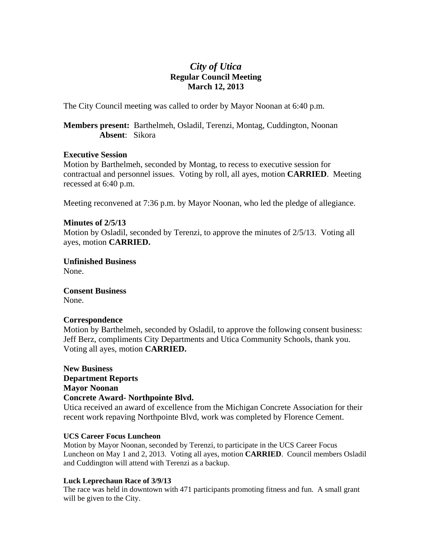# *City of Utica*  **Regular Council Meeting March 12, 2013**

The City Council meeting was called to order by Mayor Noonan at 6:40 p.m.

**Members present:** Barthelmeh, Osladil, Terenzi, Montag, Cuddington, Noonan **Absent**: Sikora

### **Executive Session**

Motion by Barthelmeh, seconded by Montag, to recess to executive session for contractual and personnel issues. Voting by roll, all ayes, motion **CARRIED**. Meeting recessed at 6:40 p.m.

Meeting reconvened at 7:36 p.m. by Mayor Noonan, who led the pledge of allegiance.

## **Minutes of 2/5/13**

Motion by Osladil, seconded by Terenzi, to approve the minutes of 2/5/13. Voting all ayes, motion **CARRIED.** 

**Unfinished Business**  None.

**Consent Business** 

None.

### **Correspondence**

Motion by Barthelmeh, seconded by Osladil, to approve the following consent business: Jeff Berz, compliments City Departments and Utica Community Schools, thank you. Voting all ayes, motion **CARRIED.** 

**New Business Department Reports Mayor Noonan Concrete Award- Northpointe Blvd.** 

Utica received an award of excellence from the Michigan Concrete Association for their recent work repaving Northpointe Blvd, work was completed by Florence Cement.

### **UCS Career Focus Luncheon**

Motion by Mayor Noonan, seconded by Terenzi, to participate in the UCS Career Focus Luncheon on May 1 and 2, 2013. Voting all ayes, motion **CARRIED**. Council members Osladil and Cuddington will attend with Terenzi as a backup.

### **Luck Leprechaun Race of 3/9/13**

The race was held in downtown with 471 participants promoting fitness and fun. A small grant will be given to the City.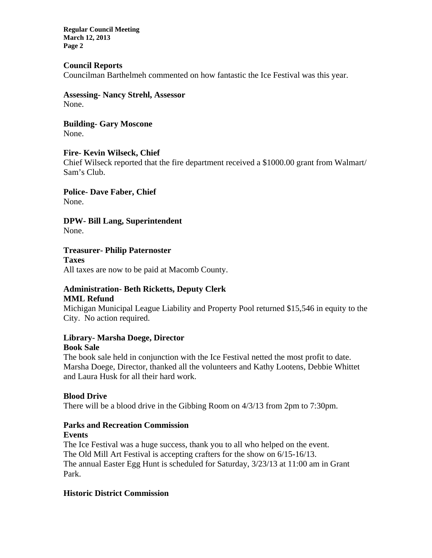**Regular Council Meeting March 12, 2013 Page 2** 

## **Council Reports**

Councilman Barthelmeh commented on how fantastic the Ice Festival was this year.

**Assessing- Nancy Strehl, Assessor**  None.

**Building- Gary Moscone**  None.

## **Fire- Kevin Wilseck, Chief**

Chief Wilseck reported that the fire department received a \$1000.00 grant from Walmart/ Sam's Club.

**Police- Dave Faber, Chief**  None.

**DPW- Bill Lang, Superintendent**  None.

**Treasurer- Philip Paternoster** 

**Taxes**  All taxes are now to be paid at Macomb County.

# **Administration- Beth Ricketts, Deputy Clerk MML Refund**

Michigan Municipal League Liability and Property Pool returned \$15,546 in equity to the City. No action required.

# **Library- Marsha Doege, Director**

## **Book Sale**

The book sale held in conjunction with the Ice Festival netted the most profit to date. Marsha Doege, Director, thanked all the volunteers and Kathy Lootens, Debbie Whittet and Laura Husk for all their hard work.

## **Blood Drive**

There will be a blood drive in the Gibbing Room on 4/3/13 from 2pm to 7:30pm.

### **Parks and Recreation Commission Events**

The Ice Festival was a huge success, thank you to all who helped on the event. The Old Mill Art Festival is accepting crafters for the show on 6/15-16/13. The annual Easter Egg Hunt is scheduled for Saturday, 3/23/13 at 11:00 am in Grant Park.

# **Historic District Commission**